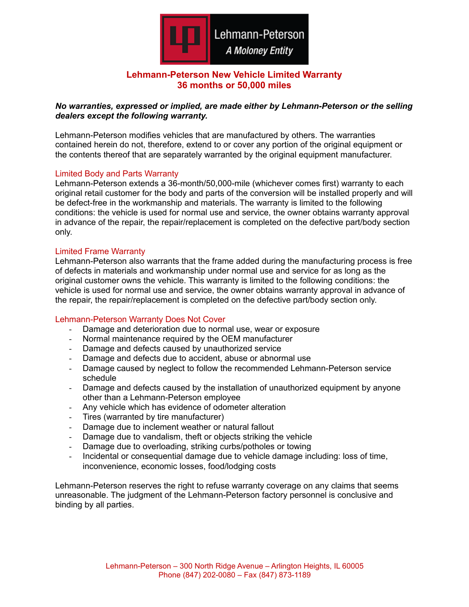

# **Lehmann-Peterson New Vehicle Limited Warranty 36 months or 50,000 miles**

# *No warranties, expressed or implied, are made either by Lehmann-Peterson or the selling dealers except the following warranty.*

Lehmann-Peterson modifies vehicles that are manufactured by others. The warranties contained herein do not, therefore, extend to or cover any portion of the original equipment or the contents thereof that are separately warranted by the original equipment manufacturer.

## Limited Body and Parts Warranty

Lehmann-Peterson extends a 36-month/50,000-mile (whichever comes first) warranty to each original retail customer for the body and parts of the conversion will be installed properly and will be defect-free in the workmanship and materials. The warranty is limited to the following conditions: the vehicle is used for normal use and service, the owner obtains warranty approval in advance of the repair, the repair/replacement is completed on the defective part/body section only.

#### Limited Frame Warranty

Lehmann-Peterson also warrants that the frame added during the manufacturing process is free of defects in materials and workmanship under normal use and service for as long as the original customer owns the vehicle. This warranty is limited to the following conditions: the vehicle is used for normal use and service, the owner obtains warranty approval in advance of the repair, the repair/replacement is completed on the defective part/body section only.

# Lehmann-Peterson Warranty Does Not Cover

- Damage and deterioration due to normal use, wear or exposure
- Normal maintenance required by the OEM manufacturer
- Damage and defects caused by unauthorized service
- Damage and defects due to accident, abuse or abnormal use
- Damage caused by neglect to follow the recommended Lehmann-Peterson service schedule
- Damage and defects caused by the installation of unauthorized equipment by anyone other than a Lehmann-Peterson employee
- Any vehicle which has evidence of odometer alteration
- Tires (warranted by tire manufacturer)
- Damage due to inclement weather or natural fallout
- Damage due to vandalism, theft or objects striking the vehicle
- Damage due to overloading, striking curbs/potholes or towing
- Incidental or consequential damage due to vehicle damage including: loss of time, inconvenience, economic losses, food/lodging costs

Lehmann-Peterson reserves the right to refuse warranty coverage on any claims that seems unreasonable. The judgment of the Lehmann-Peterson factory personnel is conclusive and binding by all parties.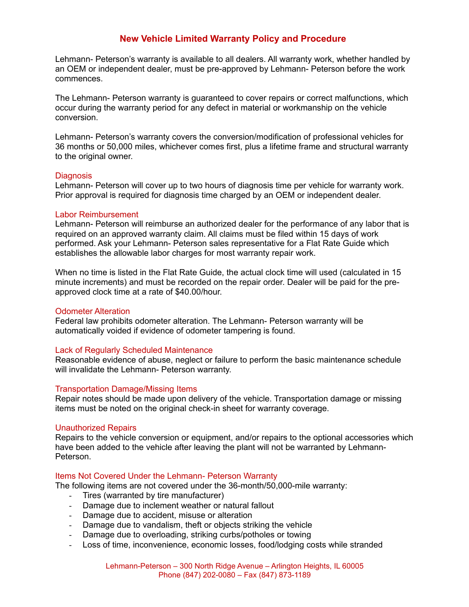# **New Vehicle Limited Warranty Policy and Procedure**

Lehmann- Peterson's warranty is available to all dealers. All warranty work, whether handled by an OEM or independent dealer, must be pre-approved by Lehmann- Peterson before the work commences.

The Lehmann- Peterson warranty is guaranteed to cover repairs or correct malfunctions, which occur during the warranty period for any defect in material or workmanship on the vehicle conversion.

Lehmann- Peterson's warranty covers the conversion/modification of professional vehicles for 36 months or 50,000 miles, whichever comes first, plus a lifetime frame and structural warranty to the original owner.

#### **Diagnosis**

Lehmann- Peterson will cover up to two hours of diagnosis time per vehicle for warranty work. Prior approval is required for diagnosis time charged by an OEM or independent dealer.

## Labor Reimbursement

Lehmann- Peterson will reimburse an authorized dealer for the performance of any labor that is required on an approved warranty claim. All claims must be filed within 15 days of work performed. Ask your Lehmann- Peterson sales representative for a Flat Rate Guide which establishes the allowable labor charges for most warranty repair work.

When no time is listed in the Flat Rate Guide, the actual clock time will used (calculated in 15 minute increments) and must be recorded on the repair order. Dealer will be paid for the preapproved clock time at a rate of \$40.00/hour.

#### Odometer Alteration

Federal law prohibits odometer alteration. The Lehmann- Peterson warranty will be automatically voided if evidence of odometer tampering is found.

#### Lack of Regularly Scheduled Maintenance

Reasonable evidence of abuse, neglect or failure to perform the basic maintenance schedule will invalidate the Lehmann- Peterson warranty.

#### Transportation Damage/Missing Items

Repair notes should be made upon delivery of the vehicle. Transportation damage or missing items must be noted on the original check-in sheet for warranty coverage.

#### Unauthorized Repairs

Repairs to the vehicle conversion or equipment, and/or repairs to the optional accessories which have been added to the vehicle after leaving the plant will not be warranted by Lehmann-Peterson.

#### Items Not Covered Under the Lehmann- Peterson Warranty

The following items are not covered under the 36-month/50,000-mile warranty:

- Tires (warranted by tire manufacturer)
- Damage due to inclement weather or natural fallout
- Damage due to accident, misuse or alteration
- Damage due to vandalism, theft or objects striking the vehicle
- Damage due to overloading, striking curbs/potholes or towing
- Loss of time, inconvenience, economic losses, food/lodging costs while stranded